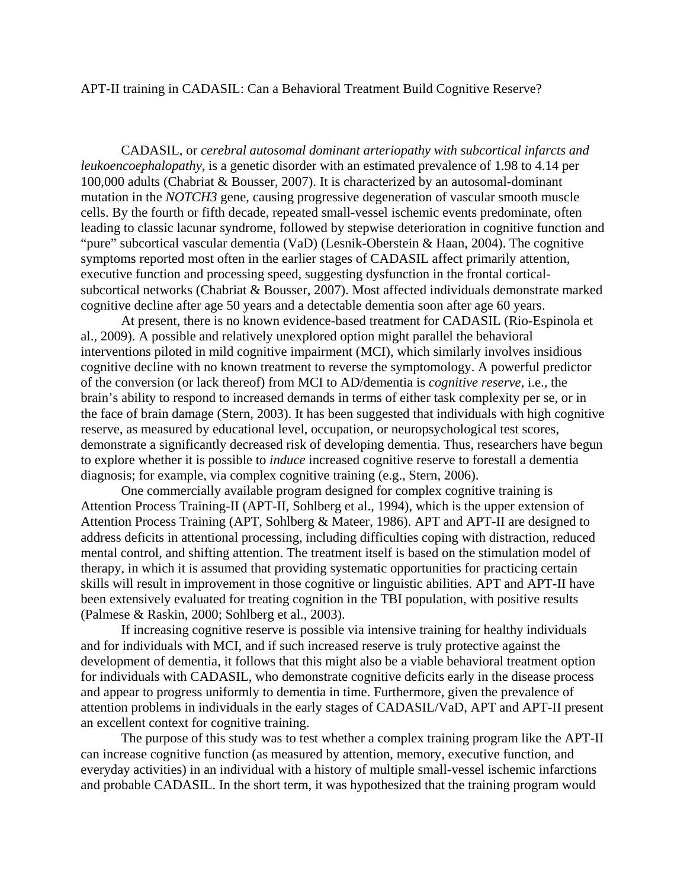## APT-II training in CADASIL: Can a Behavioral Treatment Build Cognitive Reserve?

CADASIL, or *cerebral autosomal dominant arteriopathy with subcortical infarcts and leukoencoephalopathy*, is a genetic disorder with an estimated prevalence of 1.98 to 4.14 per 100,000 adults (Chabriat & Bousser, 2007). It is characterized by an autosomal-dominant mutation in the *NOTCH3* gene, causing progressive degeneration of vascular smooth muscle cells. By the fourth or fifth decade, repeated small-vessel ischemic events predominate, often leading to classic lacunar syndrome, followed by stepwise deterioration in cognitive function and "pure" subcortical vascular dementia (VaD) (Lesnik-Oberstein & Haan, 2004). The cognitive symptoms reported most often in the earlier stages of CADASIL affect primarily attention, executive function and processing speed, suggesting dysfunction in the frontal corticalsubcortical networks (Chabriat & Bousser, 2007). Most affected individuals demonstrate marked cognitive decline after age 50 years and a detectable dementia soon after age 60 years.

At present, there is no known evidence-based treatment for CADASIL (Rio-Espinola et al., 2009). A possible and relatively unexplored option might parallel the behavioral interventions piloted in mild cognitive impairment (MCI), which similarly involves insidious cognitive decline with no known treatment to reverse the symptomology. A powerful predictor of the conversion (or lack thereof) from MCI to AD/dementia is *cognitive reserve*, i.e., the brain's ability to respond to increased demands in terms of either task complexity per se, or in the face of brain damage (Stern, 2003). It has been suggested that individuals with high cognitive reserve, as measured by educational level, occupation, or neuropsychological test scores, demonstrate a significantly decreased risk of developing dementia. Thus, researchers have begun to explore whether it is possible to *induce* increased cognitive reserve to forestall a dementia diagnosis; for example, via complex cognitive training (e.g., Stern, 2006).

One commercially available program designed for complex cognitive training is Attention Process Training-II (APT-II, Sohlberg et al., 1994), which is the upper extension of Attention Process Training (APT, Sohlberg & Mateer, 1986). APT and APT-II are designed to address deficits in attentional processing, including difficulties coping with distraction, reduced mental control, and shifting attention. The treatment itself is based on the stimulation model of therapy, in which it is assumed that providing systematic opportunities for practicing certain skills will result in improvement in those cognitive or linguistic abilities. APT and APT-II have been extensively evaluated for treating cognition in the TBI population, with positive results (Palmese & Raskin, 2000; Sohlberg et al., 2003).

If increasing cognitive reserve is possible via intensive training for healthy individuals and for individuals with MCI, and if such increased reserve is truly protective against the development of dementia, it follows that this might also be a viable behavioral treatment option for individuals with CADASIL, who demonstrate cognitive deficits early in the disease process and appear to progress uniformly to dementia in time. Furthermore, given the prevalence of attention problems in individuals in the early stages of CADASIL/VaD, APT and APT-II present an excellent context for cognitive training.

The purpose of this study was to test whether a complex training program like the APT-II can increase cognitive function (as measured by attention, memory, executive function, and everyday activities) in an individual with a history of multiple small-vessel ischemic infarctions and probable CADASIL. In the short term, it was hypothesized that the training program would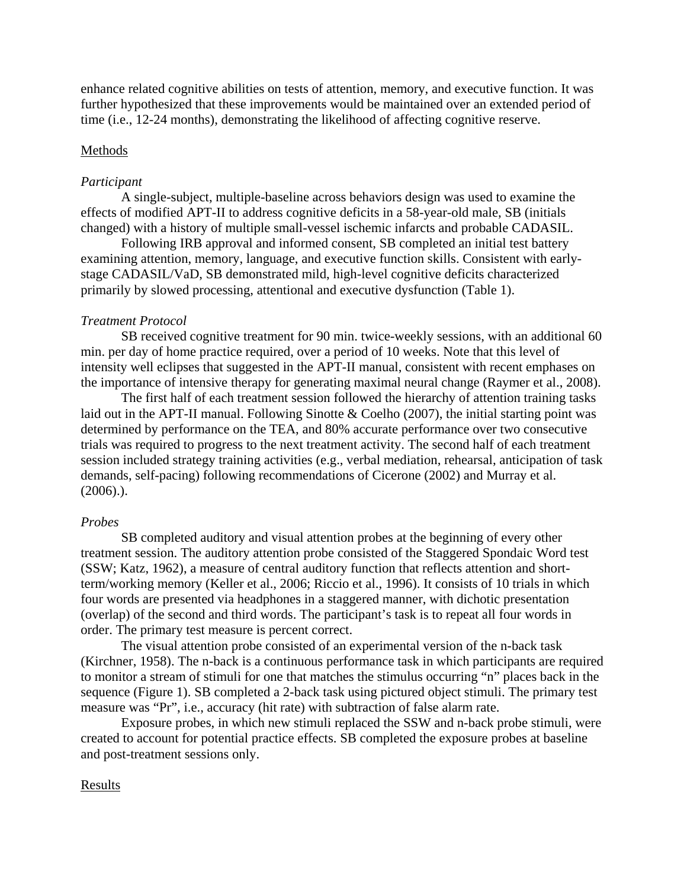enhance related cognitive abilities on tests of attention, memory, and executive function. It was further hypothesized that these improvements would be maintained over an extended period of time (i.e., 12-24 months), demonstrating the likelihood of affecting cognitive reserve.

#### Methods

#### *Participant*

A single-subject, multiple-baseline across behaviors design was used to examine the effects of modified APT-II to address cognitive deficits in a 58-year-old male, SB (initials changed) with a history of multiple small-vessel ischemic infarcts and probable CADASIL.

Following IRB approval and informed consent, SB completed an initial test battery examining attention, memory, language, and executive function skills. Consistent with earlystage CADASIL/VaD, SB demonstrated mild, high-level cognitive deficits characterized primarily by slowed processing, attentional and executive dysfunction (Table 1).

#### *Treatment Protocol*

SB received cognitive treatment for 90 min. twice-weekly sessions, with an additional 60 min. per day of home practice required, over a period of 10 weeks. Note that this level of intensity well eclipses that suggested in the APT-II manual, consistent with recent emphases on the importance of intensive therapy for generating maximal neural change (Raymer et al., 2008).

The first half of each treatment session followed the hierarchy of attention training tasks laid out in the APT-II manual. Following Sinotte & Coelho (2007), the initial starting point was determined by performance on the TEA, and 80% accurate performance over two consecutive trials was required to progress to the next treatment activity. The second half of each treatment session included strategy training activities (e.g., verbal mediation, rehearsal, anticipation of task demands, self-pacing) following recommendations of Cicerone (2002) and Murray et al. (2006).).

#### *Probes*

SB completed auditory and visual attention probes at the beginning of every other treatment session. The auditory attention probe consisted of the Staggered Spondaic Word test (SSW; Katz, 1962), a measure of central auditory function that reflects attention and shortterm/working memory (Keller et al., 2006; Riccio et al., 1996). It consists of 10 trials in which four words are presented via headphones in a staggered manner, with dichotic presentation (overlap) of the second and third words. The participant's task is to repeat all four words in order. The primary test measure is percent correct.

The visual attention probe consisted of an experimental version of the n-back task (Kirchner, 1958). The n-back is a continuous performance task in which participants are required to monitor a stream of stimuli for one that matches the stimulus occurring "n" places back in the sequence (Figure 1). SB completed a 2-back task using pictured object stimuli. The primary test measure was "Pr", i.e., accuracy (hit rate) with subtraction of false alarm rate.

Exposure probes, in which new stimuli replaced the SSW and n-back probe stimuli, were created to account for potential practice effects. SB completed the exposure probes at baseline and post-treatment sessions only.

## Results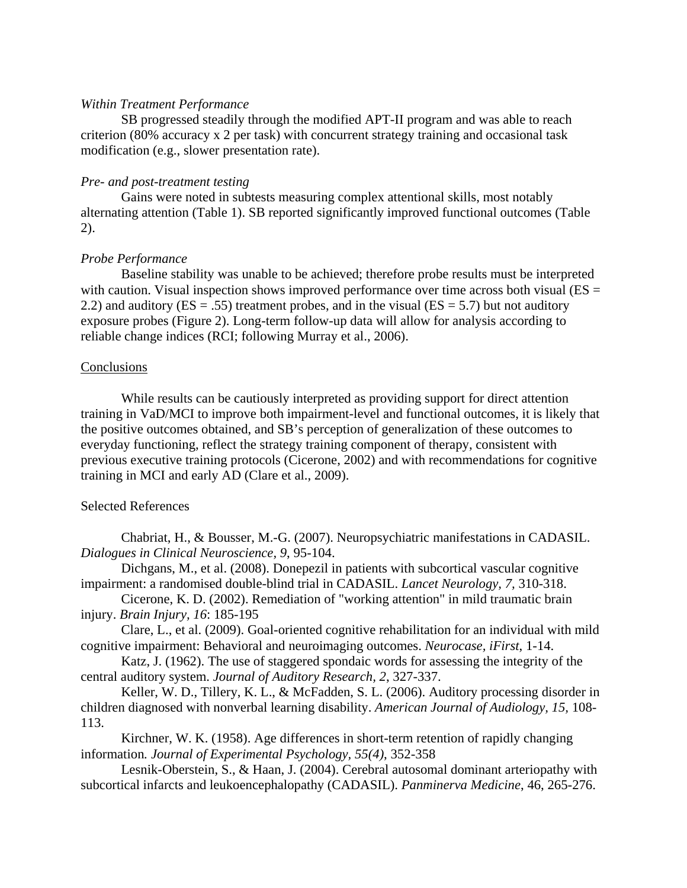## *Within Treatment Performance*

SB progressed steadily through the modified APT-II program and was able to reach criterion (80% accuracy x 2 per task) with concurrent strategy training and occasional task modification (e.g., slower presentation rate).

# *Pre- and post-treatment testing*

Gains were noted in subtests measuring complex attentional skills, most notably alternating attention (Table 1). SB reported significantly improved functional outcomes (Table 2).

# *Probe Performance*

Baseline stability was unable to be achieved; therefore probe results must be interpreted with caution. Visual inspection shows improved performance over time across both visual ( $ES =$ 2.2) and auditory ( $ES = .55$ ) treatment probes, and in the visual ( $ES = 5.7$ ) but not auditory exposure probes (Figure 2). Long-term follow-up data will allow for analysis according to reliable change indices (RCI; following Murray et al., 2006).

## **Conclusions**

While results can be cautiously interpreted as providing support for direct attention training in VaD/MCI to improve both impairment-level and functional outcomes, it is likely that the positive outcomes obtained, and SB's perception of generalization of these outcomes to everyday functioning, reflect the strategy training component of therapy, consistent with previous executive training protocols (Cicerone, 2002) and with recommendations for cognitive training in MCI and early AD (Clare et al., 2009).

## Selected References

Chabriat, H., & Bousser, M.-G. (2007). Neuropsychiatric manifestations in CADASIL. *Dialogues in Clinical Neuroscience, 9*, 95-104.

Dichgans, M., et al. (2008). Donepezil in patients with subcortical vascular cognitive impairment: a randomised double-blind trial in CADASIL. *Lancet Neurology, 7,* 310-318.

Cicerone, K. D. (2002). Remediation of "working attention" in mild traumatic brain injury. *Brain Injury, 16*: 185-195

Clare, L., et al. (2009). Goal-oriented cognitive rehabilitation for an individual with mild cognitive impairment: Behavioral and neuroimaging outcomes. *Neurocase, iFirst*, 1-14.

Katz, J. (1962). The use of staggered spondaic words for assessing the integrity of the central auditory system. *Journal of Auditory Research, 2*, 327-337.

Keller, W. D., Tillery, K. L., & McFadden, S. L. (2006). Auditory processing disorder in children diagnosed with nonverbal learning disability. *American Journal of Audiology, 15,* 108- 113.

Kirchner, W. K. (1958). Age differences in short-term retention of rapidly changing information*. Journal of Experimental Psychology, 55(4)*, 352-358

Lesnik-Oberstein, S., & Haan, J. (2004). Cerebral autosomal dominant arteriopathy with subcortical infarcts and leukoencephalopathy (CADASIL). *Panminerva Medicine*, 46, 265-276.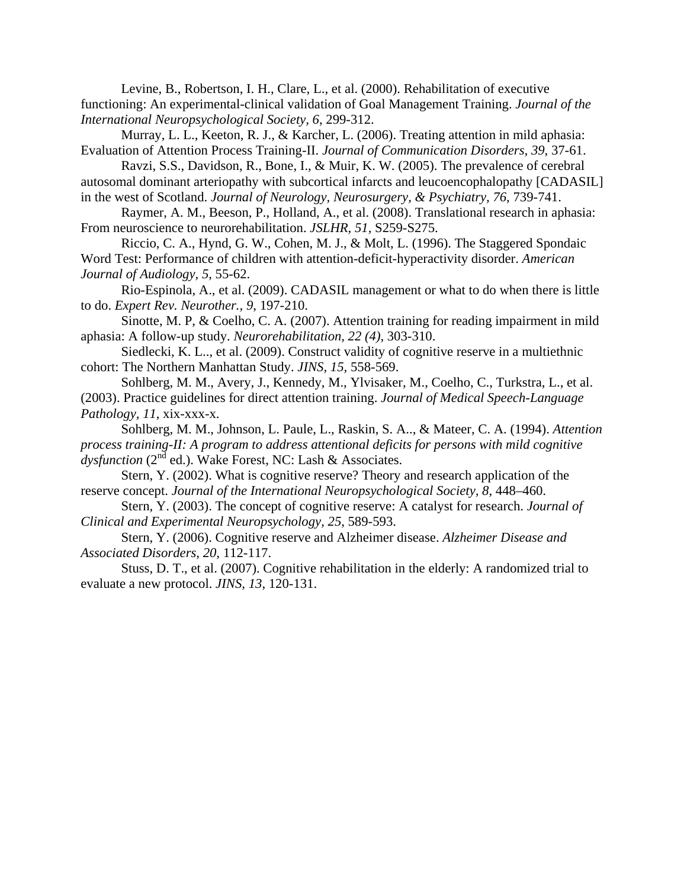Levine, B., Robertson, I. H., Clare, L., et al. (2000). Rehabilitation of executive functioning: An experimental-clinical validation of Goal Management Training. *Journal of the International Neuropsychological Society, 6*, 299-312.

Murray, L. L., Keeton, R. J., & Karcher, L. (2006). Treating attention in mild aphasia: Evaluation of Attention Process Training-II. *Journal of Communication Disorders, 39*, 37-61.

Ravzi, S.S., Davidson, R., Bone, I., & Muir, K. W. (2005). The prevalence of cerebral autosomal dominant arteriopathy with subcortical infarcts and leucoencophalopathy [CADASIL] in the west of Scotland. *Journal of Neurology, Neurosurgery, & Psychiatry, 76*, 739-741.

Raymer, A. M., Beeson, P., Holland, A., et al. (2008). Translational research in aphasia: From neuroscience to neurorehabilitation. *JSLHR, 51,* S259-S275.

Riccio, C. A., Hynd, G. W., Cohen, M. J., & Molt, L. (1996). The Staggered Spondaic Word Test: Performance of children with attention-deficit-hyperactivity disorder. *American Journal of Audiology, 5*, 55-62.

Rio-Espinola, A., et al. (2009). CADASIL management or what to do when there is little to do. *Expert Rev. Neurother., 9*, 197-210.

Sinotte, M. P, & Coelho, C. A. (2007). Attention training for reading impairment in mild aphasia: A follow-up study. *Neurorehabilitation, 22 (4)*, 303-310.

Siedlecki, K. L.., et al. (2009). Construct validity of cognitive reserve in a multiethnic cohort: The Northern Manhattan Study. *JINS, 15,* 558-569.

Sohlberg, M. M., Avery, J., Kennedy, M., Ylvisaker, M., Coelho, C., Turkstra, L., et al. (2003). Practice guidelines for direct attention training. *Journal of Medical Speech-Language Pathology, 11*, xix-xxx-x.

Sohlberg, M. M., Johnson, L. Paule, L., Raskin, S. A.., & Mateer, C. A. (1994). *Attention process training-II: A program to address attentional deficits for persons with mild cognitive*   $dyst$ *unction* ( $2<sup>nd</sup>$  ed.). Wake Forest, NC: Lash & Associates.

Stern, Y. (2002). What is cognitive reserve? Theory and research application of the reserve concept. *Journal of the International Neuropsychological Society, 8*, 448–460.

Stern, Y. (2003). The concept of cognitive reserve: A catalyst for research. *Journal of Clinical and Experimental Neuropsychology, 25*, 589-593.

Stern, Y. (2006). Cognitive reserve and Alzheimer disease. *Alzheimer Disease and Associated Disorders, 20,* 112-117.

Stuss, D. T., et al. (2007). Cognitive rehabilitation in the elderly: A randomized trial to evaluate a new protocol. *JINS, 13*, 120-131.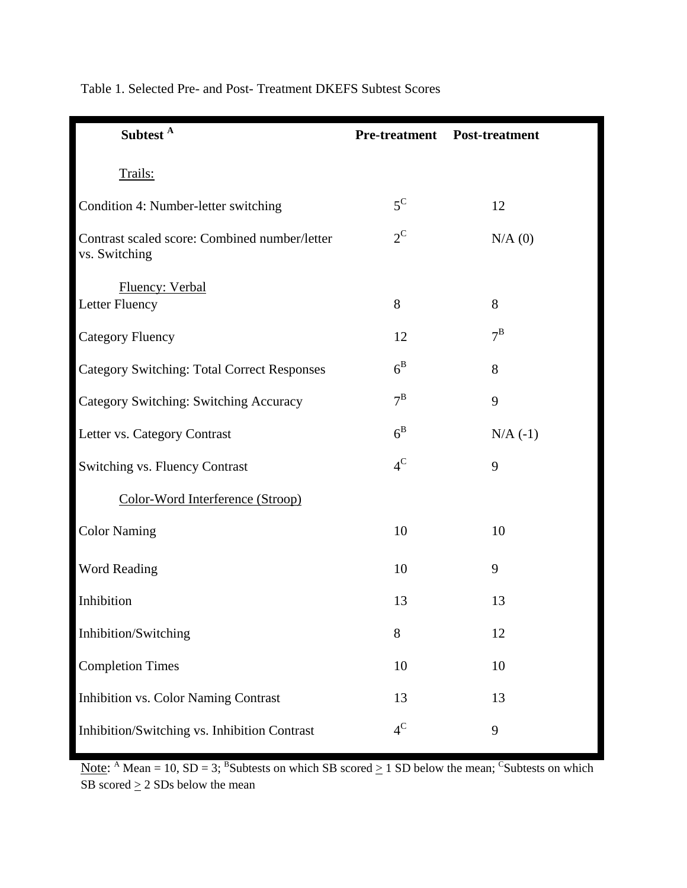| Subtest <sup>A</sup>                                           |             | <b>Pre-treatment</b> Post-treatment |
|----------------------------------------------------------------|-------------|-------------------------------------|
| Trails:                                                        |             |                                     |
| Condition 4: Number-letter switching                           | $5^{\rm C}$ | 12                                  |
| Contrast scaled score: Combined number/letter<br>vs. Switching | $2^{\rm C}$ | $N/A$ (0)                           |
| Fluency: Verbal<br>Letter Fluency                              | 8           | 8                                   |
| <b>Category Fluency</b>                                        | 12          | $7^{\rm B}$                         |
| <b>Category Switching: Total Correct Responses</b>             | $6^{\rm B}$ | 8                                   |
| Category Switching: Switching Accuracy                         | $7^{\rm B}$ | 9                                   |
| Letter vs. Category Contrast                                   | $6^{\rm B}$ | $N/A$ (-1)                          |
| Switching vs. Fluency Contrast                                 | $4^{\rm C}$ | 9                                   |
| Color-Word Interference (Stroop)                               |             |                                     |
| <b>Color Naming</b>                                            | 10          | 10                                  |
| Word Reading                                                   | 10          | 9                                   |
| Inhibition                                                     | 13          | 13                                  |
| Inhibition/Switching                                           | 8           | 12                                  |
| <b>Completion Times</b>                                        | 10          | 10                                  |
| Inhibition vs. Color Naming Contrast                           | 13          | 13                                  |
| Inhibition/Switching vs. Inhibition Contrast                   | $4^C$       | 9                                   |

Table 1. Selected Pre- and Post- Treatment DKEFS Subtest Scores

Note: <sup>A</sup> Mean = 10, SD = 3; <sup>B</sup>Subtests on which SB scored  $\geq 1$  SD below the mean; <sup>C</sup>Subtests on which SB scored  $\geq 2$  SDs below the mean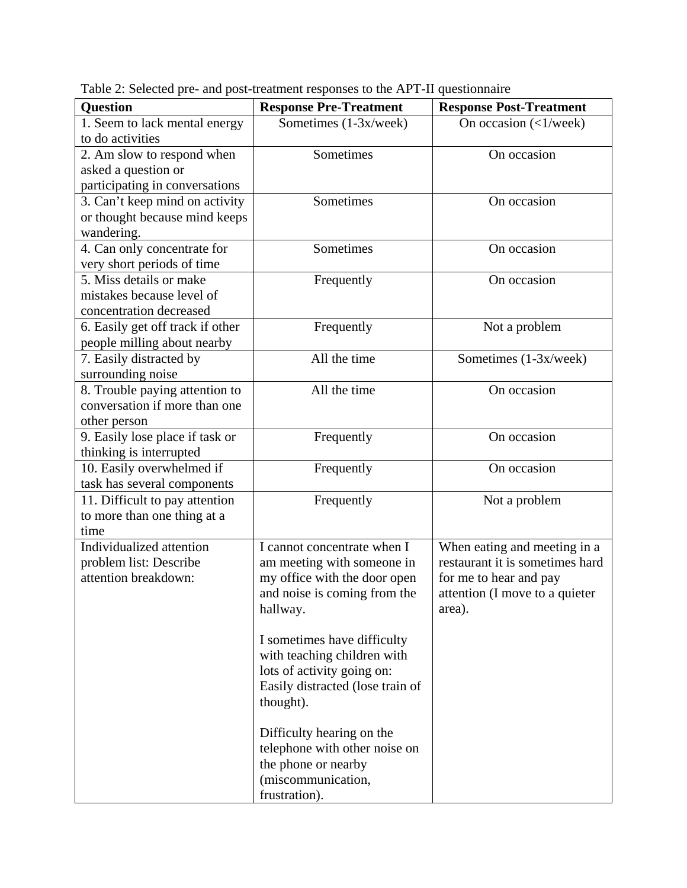| <b>Question</b>                  | <b>Response Pre-Treatment</b>    | <b>Response Post-Treatment</b>             |
|----------------------------------|----------------------------------|--------------------------------------------|
| 1. Seem to lack mental energy    | Sometimes (1-3x/week)            | On occasion $\left(\langle 1/week \right)$ |
| to do activities                 |                                  |                                            |
| 2. Am slow to respond when       | Sometimes                        | On occasion                                |
| asked a question or              |                                  |                                            |
| participating in conversations   |                                  |                                            |
| 3. Can't keep mind on activity   | Sometimes                        | On occasion                                |
| or thought because mind keeps    |                                  |                                            |
| wandering.                       |                                  |                                            |
| 4. Can only concentrate for      | Sometimes                        | On occasion                                |
| very short periods of time       |                                  |                                            |
| 5. Miss details or make          | Frequently                       | On occasion                                |
| mistakes because level of        |                                  |                                            |
| concentration decreased          |                                  |                                            |
| 6. Easily get off track if other | Frequently                       | Not a problem                              |
| people milling about nearby      |                                  |                                            |
| 7. Easily distracted by          | All the time                     | Sometimes (1-3x/week)                      |
| surrounding noise                |                                  |                                            |
| 8. Trouble paying attention to   | All the time                     | On occasion                                |
| conversation if more than one    |                                  |                                            |
| other person                     |                                  |                                            |
| 9. Easily lose place if task or  | Frequently                       | On occasion                                |
| thinking is interrupted          |                                  |                                            |
| 10. Easily overwhelmed if        | Frequently                       | On occasion                                |
| task has several components      |                                  |                                            |
| 11. Difficult to pay attention   | Frequently                       | Not a problem                              |
| to more than one thing at a      |                                  |                                            |
| time                             |                                  |                                            |
| Individualized attention         | I cannot concentrate when I      | When eating and meeting in a               |
| problem list: Describe           | am meeting with someone in       | restaurant it is sometimes hard            |
| attention breakdown:             | my office with the door open     | for me to hear and pay                     |
|                                  | and noise is coming from the     | attention (I move to a quieter             |
|                                  | hallway.                         | area).                                     |
|                                  |                                  |                                            |
|                                  | I sometimes have difficulty      |                                            |
|                                  | with teaching children with      |                                            |
|                                  | lots of activity going on:       |                                            |
|                                  | Easily distracted (lose train of |                                            |
|                                  | thought).                        |                                            |
|                                  | Difficulty hearing on the        |                                            |
|                                  | telephone with other noise on    |                                            |
|                                  | the phone or nearby              |                                            |
|                                  | (miscommunication,               |                                            |
|                                  | frustration).                    |                                            |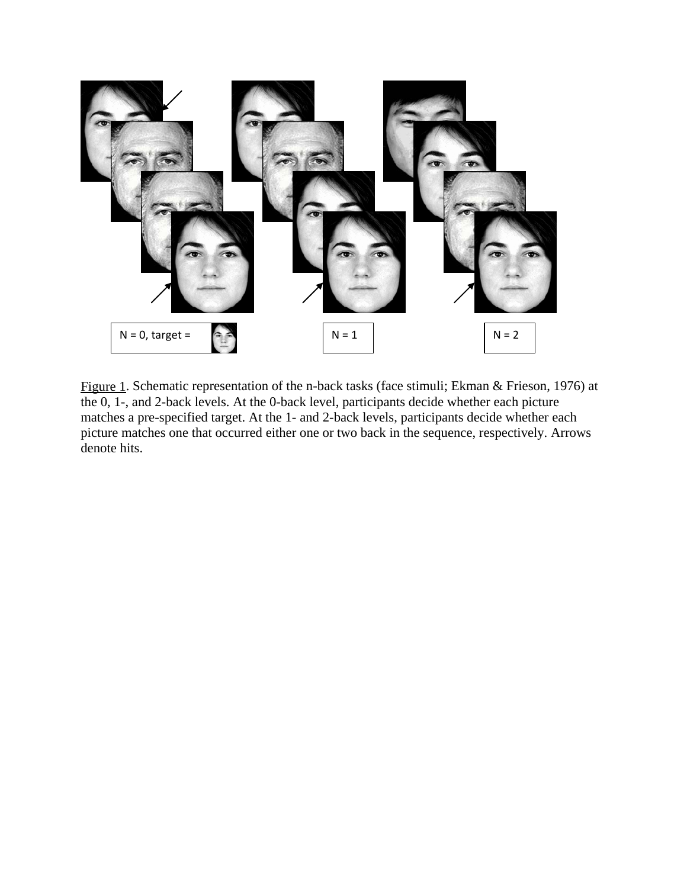

Figure 1. Schematic representation of the n-back tasks (face stimuli; Ekman & Frieson, 1976) at the 0, 1-, and 2-back levels. At the 0-back level, participants decide whether each picture matches a pre-specified target. At the 1- and 2-back levels, participants decide whether each picture matches one that occurred either one or two back in the sequence, respectively. Arrows denote hits.